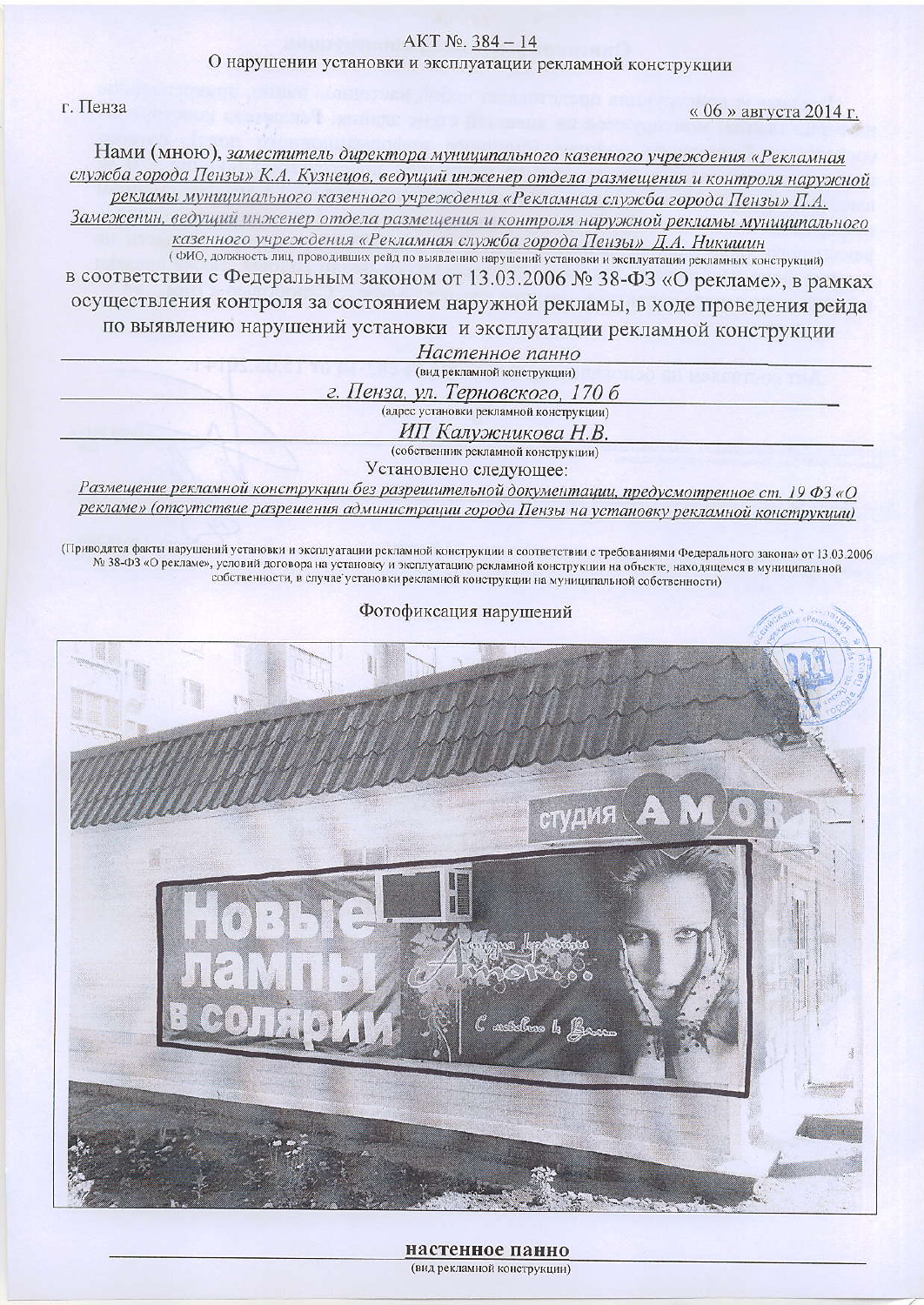## AKT №. 384-14

О нарушении установки и эксплуатации рекламной конструкции

г. Пенза

« 06 » августа 2014 г.

Нами (мною), заместитель директора муниципального казенного учреждения «Рекламная служба города Пензы» К.А. Кузнецов, ведущий инженер отдела размещения и контроля наружной рекламы муниципального казенного учреждения «Рекламная служба города Пензы» П.А. Замеженин, ведущий инженер отдела размещения и контроля наружной рекламы муниципального

казенного учреждения «Рекламная служба города Пензы» Д.А. Никишин

(ФИО, должность лиц, проводивших рейд по выявлению нарушений установки и эксплуатации рекламных конструкций) в соответствии с Федеральным законом от 13.03.2006 № 38-ФЗ «О рекламе», в рамках осуществления контроля за состоянием наружной рекламы, в ходе проведения рейда по выявлению нарушений установки и эксплуатации рекламной конструкции Настоиное панно

| <i>HUGHERROE HURRO</i>           |
|----------------------------------|
| (вид рекламной конструкции)      |
| г. Пенза, ул. Терновского, 170 б |
|                                  |

(адрес установки рекламной конструкции)

ИП Калужникова Н.В.

(собственник рекламной конструкции)

Установлено следующее:

Размещение рекламной конструкции без разрешительной документации, предусмотренное ст. 19 ФЗ «О рекламе» (отсутствие разрешения администрации города Пензы на установку рекламной конструкции)

(Приводятся факты нарушений установки и эксплуатации рекламной конструкции в соответствии с требованиями Федерального закона» от 13.03.2006 № 38-ФЗ «О рекламе», условий договора на установку и эксплуатацию рекламной конструкции на объекте, находящемся в муниципальной собственности, в случае установки рекламной конструкции на муниципальной собственности)



настенное панно (вид рекламной конструкции)